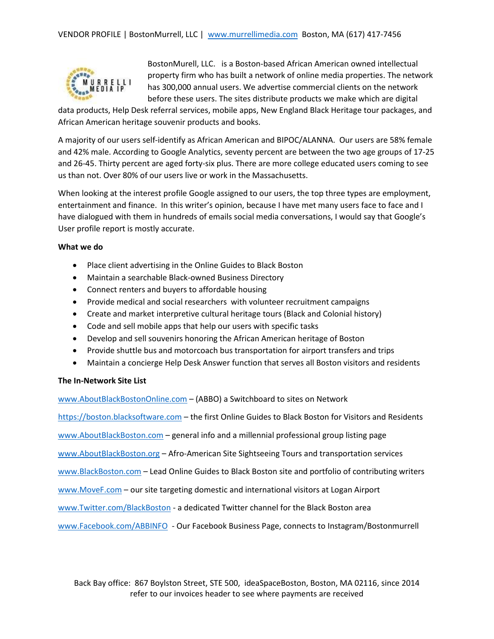

BostonMurell, LLC. is a Boston-based African American owned intellectual property firm who has built a network of online media properties. The network has 300,000 annual users. We advertise commercial clients on the network before these users. The sites distribute products we make which are digital

data products, Help Desk referral services, mobile apps, New England Black Heritage tour packages, and African American heritage souvenir products and books.

A majority of our users self-identify as African American and BIPOC/ALANNA. Our users are 58% female and 42% male. According to Google Analytics, seventy percent are between the two age groups of 17-25 and 26-45. Thirty percent are aged forty-six plus. There are more college educated users coming to see us than not. Over 80% of our users live or work in the Massachusetts.

When looking at the interest profile Google assigned to our users, the top three types are employment, entertainment and finance. In this writer's opinion, because I have met many users face to face and I have dialogued with them in hundreds of emails social media conversations, I would say that Google's User profile report is mostly accurate.

## **What we do**

- Place client advertising in the Online Guides to Black Boston
- Maintain a searchable Black-owned Business Directory
- Connect renters and buyers to affordable housing
- Provide medical and social researchers with volunteer recruitment campaigns
- Create and market interpretive cultural heritage tours (Black and Colonial history)
- Code and sell mobile apps that help our users with specific tasks
- Develop and sell souvenirs honoring the African American heritage of Boston
- Provide shuttle bus and motorcoach bus transportation for airport transfers and trips
- Maintain a concierge Help Desk Answer function that serves all Boston visitors and residents

## **The In-Network Site List**

[www.AboutBlackBostonOnline.com](http://www.aboutblackbostononline.com/) – (ABBO) a Switchboard to sites on Network

[https://boston.blacksoftware.com](https://boston.blacksoftware.com/) – the first Online Guides to Black Boston for Visitors and Residents

[www.AboutBlackBoston.com](http://www.aboutblackboston.com/) – general info and a millennial professional group listing page

[www.AboutBlackBoston.org](http://www.aboutblackboston.org/) – Afro-American Site Sightseeing Tours and transportation services

[www.BlackBoston.com](http://www.blackboston.com/) – Lead Online Guides to Black Boston site and portfolio of contributing writers

[www.MoveF.com](http://www.movef.com/) – our site targeting domestic and international visitors at Logan Airport

[www.Twitter.com/BlackBoston](http://www.twitter.com/BlackBoston) - a dedicated Twitter channel for the Black Boston area

[www.Facebook.com/ABBINFO](http://www.facebook.com/ABBINFO) - Our Facebook Business Page, connects to Instagram/Bostonmurrell

Back Bay office: 867 Boylston Street, STE 500, ideaSpaceBoston, Boston, MA 02116, since 2014 refer to our invoices header to see where payments are received